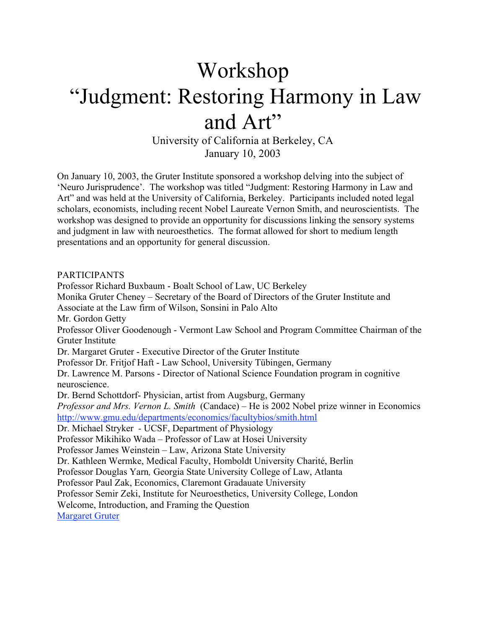## Workshop "Judgment: Restoring Harmony in Law and Art"

University of California at Berkeley, CA January 10, 2003

On January 10, 2003, the Gruter Institute sponsored a workshop delving into the subject of 'Neuro Jurisprudence'. The workshop was titled "Judgment: Restoring Harmony in Law and Art" and was held at the University of California, Berkeley. Participants included noted legal scholars, economists, including recent Nobel Laureate Vernon Smith, and neuroscientists. The workshop was designed to provide an opportunity for discussions linking the sensory systems and judgment in law with neuroesthetics. The format allowed for short to medium length presentations and an opportunity for general discussion.

PARTICIPANTS Professor Richard Buxbaum - Boalt School of Law, UC Berkeley Monika Gruter Cheney – Secretary of the Board of Directors of the Gruter Institute and Associate at the Law firm of Wilson, Sonsini in Palo Alto Mr. Gordon Getty Professor Oliver Goodenough - Vermont Law School and Program Committee Chairman of the Gruter Institute Dr. Margaret Gruter - Executive Director of the Gruter Institute Professor Dr. Fritjof Haft - Law School, University Tübingen, Germany Dr. Lawrence M. Parsons - Director of National Science Foundation program in cognitive neuroscience. Dr. Bernd Schottdorf- Physician, artist from Augsburg, Germany *Professor and Mrs. Vernon L. Smith* (Candace) – He is 2002 Nobel prize winner in Economics http://www.gmu.edu/departments/economics/facultybios/smith.html Dr. Michael Stryker *-* UCSF, Department of Physiology Professor Mikihiko Wada – Professor of Law at Hosei University Professor James Weinstein – Law, Arizona State University Dr. Kathleen Wermke, Medical Faculty, Homboldt University Charité, Berlin Professor Douglas Yarn*,* Georgia State University College of Law, Atlanta Professor Paul Zak, Economics, Claremont Gradauate University Professor Semir Zeki, Institute for Neuroesthetics, University College, London Welcome, Introduction, and Framing the Question Margaret Gruter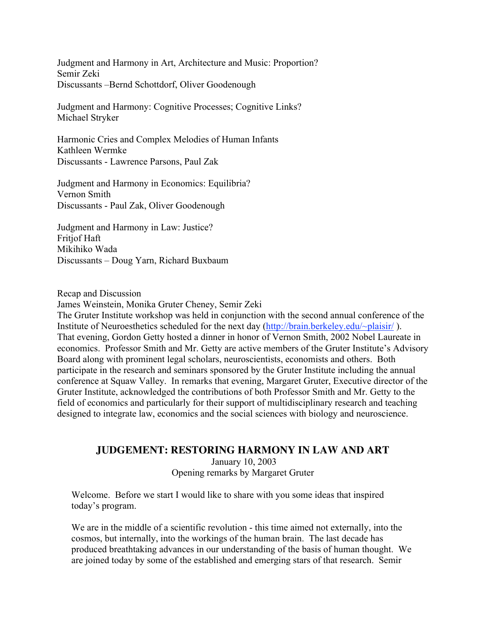Judgment and Harmony in Art, Architecture and Music: Proportion? Semir Zeki Discussants –Bernd Schottdorf, Oliver Goodenough

Judgment and Harmony: Cognitive Processes; Cognitive Links? Michael Stryker

Harmonic Cries and Complex Melodies of Human Infants Kathleen Wermke Discussants - Lawrence Parsons, Paul Zak

Judgment and Harmony in Economics: Equilibria? Vernon Smith Discussants - Paul Zak, Oliver Goodenough

Judgment and Harmony in Law: Justice? Fritiof Haft Mikihiko Wada Discussants – Doug Yarn, Richard Buxbaum

Recap and Discussion

James Weinstein, Monika Gruter Cheney, Semir Zeki

The Gruter Institute workshop was held in conjunction with the second annual conference of the Institute of Neuroesthetics scheduled for the next day (http://brain.berkeley.edu/~plaisir/ ). That evening, Gordon Getty hosted a dinner in honor of Vernon Smith, 2002 Nobel Laureate in economics. Professor Smith and Mr. Getty are active members of the Gruter Institute's Advisory Board along with prominent legal scholars, neuroscientists, economists and others. Both participate in the research and seminars sponsored by the Gruter Institute including the annual conference at Squaw Valley. In remarks that evening, Margaret Gruter, Executive director of the Gruter Institute, acknowledged the contributions of both Professor Smith and Mr. Getty to the field of economics and particularly for their support of multidisciplinary research and teaching designed to integrate law, economics and the social sciences with biology and neuroscience.

## **JUDGEMENT: RESTORING HARMONY IN LAW AND ART**

January 10, 2003 Opening remarks by Margaret Gruter

Welcome. Before we start I would like to share with you some ideas that inspired today's program.

We are in the middle of a scientific revolution - this time aimed not externally, into the cosmos, but internally, into the workings of the human brain. The last decade has produced breathtaking advances in our understanding of the basis of human thought. We are joined today by some of the established and emerging stars of that research. Semir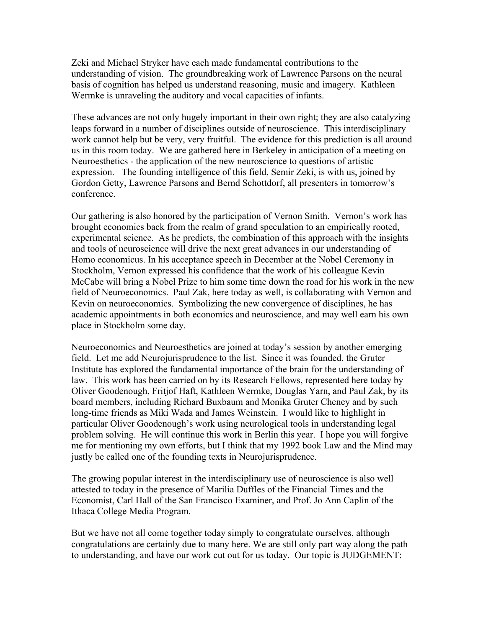Zeki and Michael Stryker have each made fundamental contributions to the understanding of vision. The groundbreaking work of Lawrence Parsons on the neural basis of cognition has helped us understand reasoning, music and imagery. Kathleen Wermke is unraveling the auditory and vocal capacities of infants.

These advances are not only hugely important in their own right; they are also catalyzing leaps forward in a number of disciplines outside of neuroscience. This interdisciplinary work cannot help but be very, very fruitful. The evidence for this prediction is all around us in this room today. We are gathered here in Berkeley in anticipation of a meeting on Neuroesthetics - the application of the new neuroscience to questions of artistic expression. The founding intelligence of this field, Semir Zeki, is with us, joined by Gordon Getty, Lawrence Parsons and Bernd Schottdorf, all presenters in tomorrow's conference.

Our gathering is also honored by the participation of Vernon Smith. Vernon's work has brought economics back from the realm of grand speculation to an empirically rooted, experimental science. As he predicts, the combination of this approach with the insights and tools of neuroscience will drive the next great advances in our understanding of Homo economicus. In his acceptance speech in December at the Nobel Ceremony in Stockholm, Vernon expressed his confidence that the work of his colleague Kevin McCabe will bring a Nobel Prize to him some time down the road for his work in the new field of Neuroeconomics. Paul Zak, here today as well, is collaborating with Vernon and Kevin on neuroeconomics. Symbolizing the new convergence of disciplines, he has academic appointments in both economics and neuroscience, and may well earn his own place in Stockholm some day.

Neuroeconomics and Neuroesthetics are joined at today's session by another emerging field. Let me add Neurojurisprudence to the list. Since it was founded, the Gruter Institute has explored the fundamental importance of the brain for the understanding of law. This work has been carried on by its Research Fellows, represented here today by Oliver Goodenough, Fritjof Haft, Kathleen Wermke, Douglas Yarn, and Paul Zak, by its board members, including Richard Buxbaum and Monika Gruter Cheney and by such long-time friends as Miki Wada and James Weinstein. I would like to highlight in particular Oliver Goodenough's work using neurological tools in understanding legal problem solving. He will continue this work in Berlin this year. I hope you will forgive me for mentioning my own efforts, but I think that my 1992 book Law and the Mind may justly be called one of the founding texts in Neurojurisprudence.

The growing popular interest in the interdisciplinary use of neuroscience is also well attested to today in the presence of Marilia Duffles of the Financial Times and the Economist, Carl Hall of the San Francisco Examiner, and Prof. Jo Ann Caplin of the Ithaca College Media Program.

But we have not all come together today simply to congratulate ourselves, although congratulations are certainly due to many here. We are still only part way along the path to understanding, and have our work cut out for us today. Our topic is JUDGEMENT: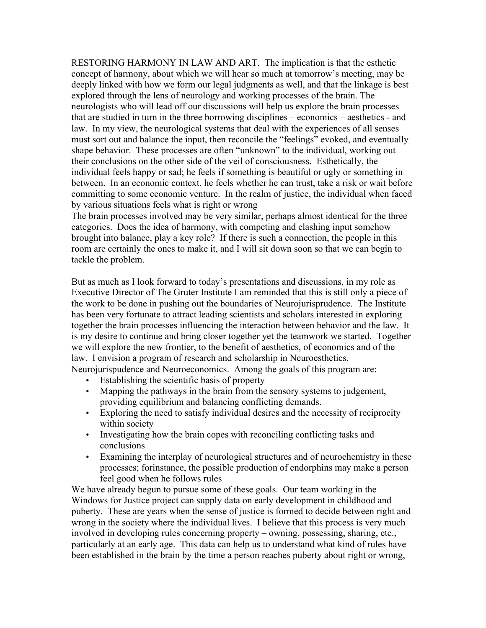RESTORING HARMONY IN LAW AND ART. The implication is that the esthetic concept of harmony, about which we will hear so much at tomorrow's meeting, may be deeply linked with how we form our legal judgments as well, and that the linkage is best explored through the lens of neurology and working processes of the brain. The neurologists who will lead off our discussions will help us explore the brain processes that are studied in turn in the three borrowing disciplines – economics – aesthetics - and law. In my view, the neurological systems that deal with the experiences of all senses must sort out and balance the input, then reconcile the "feelings" evoked, and eventually shape behavior. These processes are often "unknown" to the individual, working out their conclusions on the other side of the veil of consciousness. Esthetically, the individual feels happy or sad; he feels if something is beautiful or ugly or something in between. In an economic context, he feels whether he can trust, take a risk or wait before committing to some economic venture. In the realm of justice, the individual when faced by various situations feels what is right or wrong

The brain processes involved may be very similar, perhaps almost identical for the three categories. Does the idea of harmony, with competing and clashing input somehow brought into balance, play a key role? If there is such a connection, the people in this room are certainly the ones to make it, and I will sit down soon so that we can begin to tackle the problem.

But as much as I look forward to today's presentations and discussions, in my role as Executive Director of The Gruter Institute I am reminded that this is still only a piece of the work to be done in pushing out the boundaries of Neurojurisprudence. The Institute has been very fortunate to attract leading scientists and scholars interested in exploring together the brain processes influencing the interaction between behavior and the law. It is my desire to continue and bring closer together yet the teamwork we started. Together we will explore the new frontier, to the benefit of aesthetics, of economics and of the law. I envision a program of research and scholarship in Neuroesthetics,

Neurojurispudence and Neuroeconomics. Among the goals of this program are:

- Establishing the scientific basis of property
- Mapping the pathways in the brain from the sensory systems to judgement, providing equilibrium and balancing conflicting demands.
- Exploring the need to satisfy individual desires and the necessity of reciprocity within society
- Investigating how the brain copes with reconciling conflicting tasks and conclusions
- Examining the interplay of neurological structures and of neurochemistry in these processes; forinstance, the possible production of endorphins may make a person feel good when he follows rules

We have already begun to pursue some of these goals. Our team working in the Windows for Justice project can supply data on early development in childhood and puberty. These are years when the sense of justice is formed to decide between right and wrong in the society where the individual lives. I believe that this process is very much involved in developing rules concerning property – owning, possessing, sharing, etc., particularly at an early age. This data can help us to understand what kind of rules have been established in the brain by the time a person reaches puberty about right or wrong,